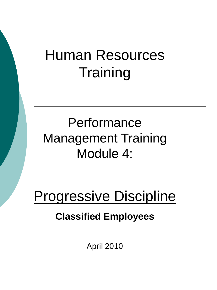# Human Resources **Training**

# **Performance** Management Training Module 4:

# Progressive Discipline

#### **Classified Employees**

April 2010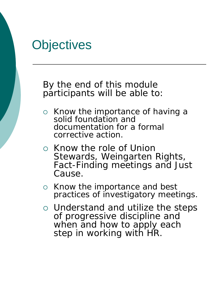## **Objectives**

By the end of this module participants will be able to:

- o Know the importance of having a solid foundation and documentation for a formal corrective action.
- o Know the role of Union Stewards, Weingarten Rights, Fact-Finding meetings and Just Cause.
- $\circ$  Know the importance and best practices of investigatory meetings.
- Understand and utilize the steps of progressive discipline and when and how to apply each step in working with HR.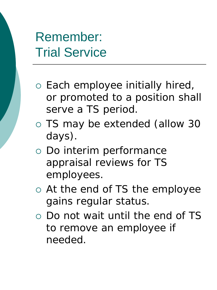#### Remember: Trial Service

- Each employee initially hired, or promoted to a position shall serve a TS period.
- TS may be extended (allow 30 days).
- Do interim performance appraisal reviews for TS employees.
- At the end of TS the employee gains regular status.
- Do not wait until the end of TS to remove an employee if needed.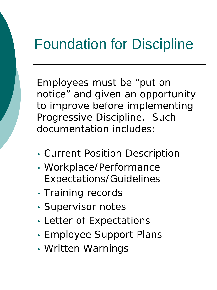# Foundation for Discipline

Employees must be "put on notice" and given an opportunity to improve before implementing Progressive Discipline. Such documentation includes:

- Current Position Description
- Workplace/Performance Expectations/Guidelines
- Training records
- Supervisor notes
- Letter of Expectations
- Employee Support Plans
- Written Warnings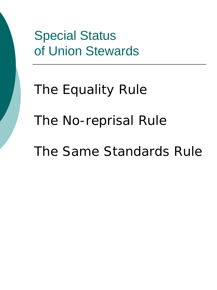## Special Status of Union Stewards

# The Equality Rule The No-reprisal Rule The Same Standards Rule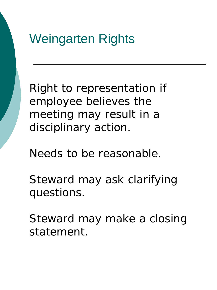

Right to representation if employee believes the meeting may result in a disciplinary action.

Needs to be reasonable.

Steward may ask clarifying questions.

Steward may make a closing statement.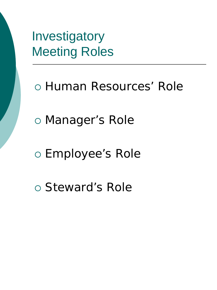Investigatory Meeting Roles

- Human Resources' Role
- Manager's Role
- Employee's Role
- Steward's Role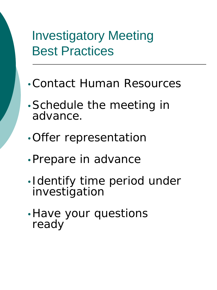#### Investigatory Meeting Best Practices

- •Contact Human Resources
- •Schedule the meeting in advance.
- •Offer representation
- •Prepare in advance
- •Identify time period under investigation
- •Have your questions ready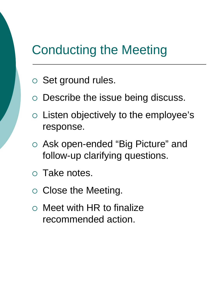#### Conducting the Meeting

- o Set ground rules.
- Describe the issue being discuss.
- $\circ$  Listen objectively to the employee's response.
- Ask open-ended "Big Picture" and follow-up clarifying questions.
- Take notes.
- $\circ$  Close the Meeting.
- $\circ$  Meet with HR to finalize recommended action.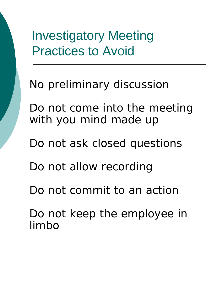Investigatory Meeting Practices to Avoid

No preliminary discussion

Do not come into the meeting with you mind made up

Do not ask closed questions

Do not allow recording

Do not commit to an action

Do not keep the employee in limbo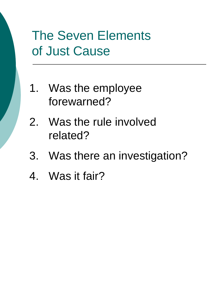## The Seven Elements of Just Cause

- 1. Was the employee forewarned?
- 2. Was the rule involved related?
- 3. Was there an investigation?
- 4. Was it fair?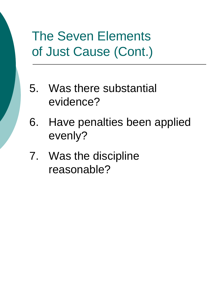## The Seven Elements of Just Cause (Cont.)

- 5. Was there substantial evidence?
- 6. Have penalties been applied evenly?
- 7. Was the discipline reasonable?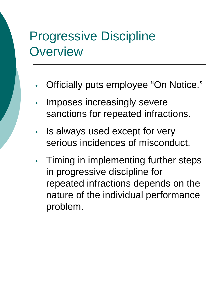## Progressive Discipline **Overview**

- Officially puts employee "On Notice."
- Imposes increasingly severe sanctions for repeated infractions.
- Is always used except for very serious incidences of misconduct.
- Timing in implementing further steps in progressive discipline for repeated infractions depends on the nature of the individual performance problem.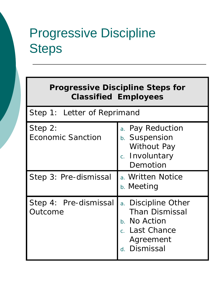# Progressive Discipline **Steps**

| <b>Progressive Discipline Steps for</b><br><b>Classified Employees</b> |                                                                                                                                             |
|------------------------------------------------------------------------|---------------------------------------------------------------------------------------------------------------------------------------------|
| Step 1: Letter of Reprimand                                            |                                                                                                                                             |
| Step 2:<br><b>Economic Sanction</b>                                    | a. Pay Reduction<br>b. Suspension<br>Without Pay<br>c. Involuntary<br>Demotion                                                              |
| Step 3: Pre-dismissal                                                  | a. Written Notice<br><b>b.</b> Meeting                                                                                                      |
| Step 4: Pre-dismissal<br>Outcome                                       | a. Discipline Other<br><b>Than Dismissal</b><br>No Action<br>$b_{-}$<br><b>Last Chance</b><br>$\overline{C}$ .<br>Agreement<br>d. Dismissal |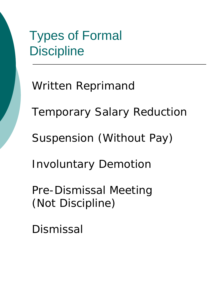## Types of Formal **Discipline**

Written Reprimand Temporary Salary Reduction Suspension (Without Pay) Involuntary Demotion Pre-Dismissal Meeting (Not Discipline)

Dismissal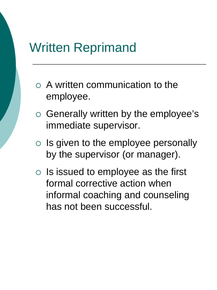#### Written Reprimand

- A written communication to the employee.
- o Generally written by the employee's immediate supervisor.
- $\circ$  Is given to the employee personally by the supervisor (or manager).
- $\circ$  Is issued to employee as the first formal corrective action when informal coaching and counseling has not been successful.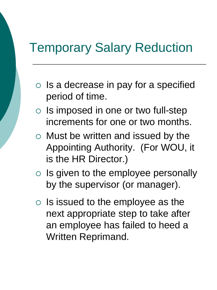#### Temporary Salary Reduction

- $\circ$  Is a decrease in pay for a specified period of time.
- $\circ$  Is imposed in one or two full-step increments for one or two months.
- $\circ$  Must be written and issued by the Appointing Authority. (For WOU, it is the HR Director.)
- $\circ$  Is given to the employee personally by the supervisor (or manager).
- $\circ$  Is issued to the employee as the next appropriate step to take after an employee has failed to heed a Written Reprimand.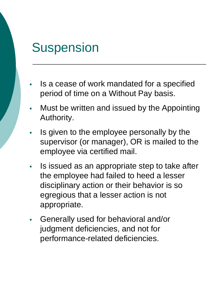## **Suspension**

- Is a cease of work mandated for a specified period of time on a Without Pay basis.
- Must be written and issued by the Appointing Authority.
- If all sum to the employee personally by the supervisor (or manager), OR is mailed to the employee via certified mail.
- **IS issued as an appropriate step to take after** the employee had failed to heed a lesser disciplinary action or their behavior is so egregious that a lesser action is not appropriate.
- Generally used for behavioral and/or judgment deficiencies, and not for performance-related deficiencies.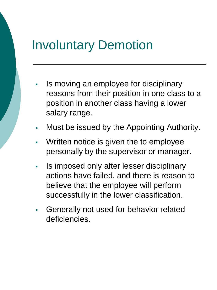#### Involuntary Demotion

- Is moving an employee for disciplinary reasons from their position in one class to a position in another class having a lower salary range.
- **Must be issued by the Appointing Authority.**
- Written notice is given the to employee personally by the supervisor or manager.
- In imposed only after lesser disciplinary actions have failed, and there is reason to believe that the employee will perform successfully in the lower classification.
- Generally not used for behavior related deficiencies.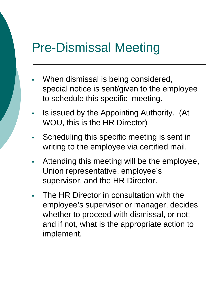#### Pre-Dismissal Meeting

- When dismissal is being considered, special notice is sent/given to the employee to schedule this specific meeting.
- Is issued by the Appointing Authority. (At WOU, this is the HR Director)
- **Scheduling this specific meeting is sent in** writing to the employee via certified mail.
- Attending this meeting will be the employee, Union representative, employee's supervisor, and the HR Director.
- The HR Director in consultation with the employee's supervisor or manager, decides whether to proceed with dismissal, or not; and if not, what is the appropriate action to implement.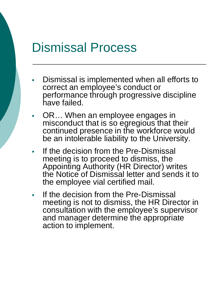#### Dismissal Process

- Dismissal is implemented when all efforts to correct an employee's conduct or performance through progressive discipline have failed.
- OR… When an employee engages in misconduct that is so egregious that their continued presence in the workforce would be an intolerable liability to the University.
- If the decision from the Pre-Dismissal meeting is to proceed to dismiss, the Appointing Authority (HR Director) writes the Notice of Dismissal letter and sends it to the employee vial certified mail.
- If the decision from the Pre-Dismissal meeting is not to dismiss, the HR Director in consultation with the employee's supervisor and manager determine the appropriate action to implement.